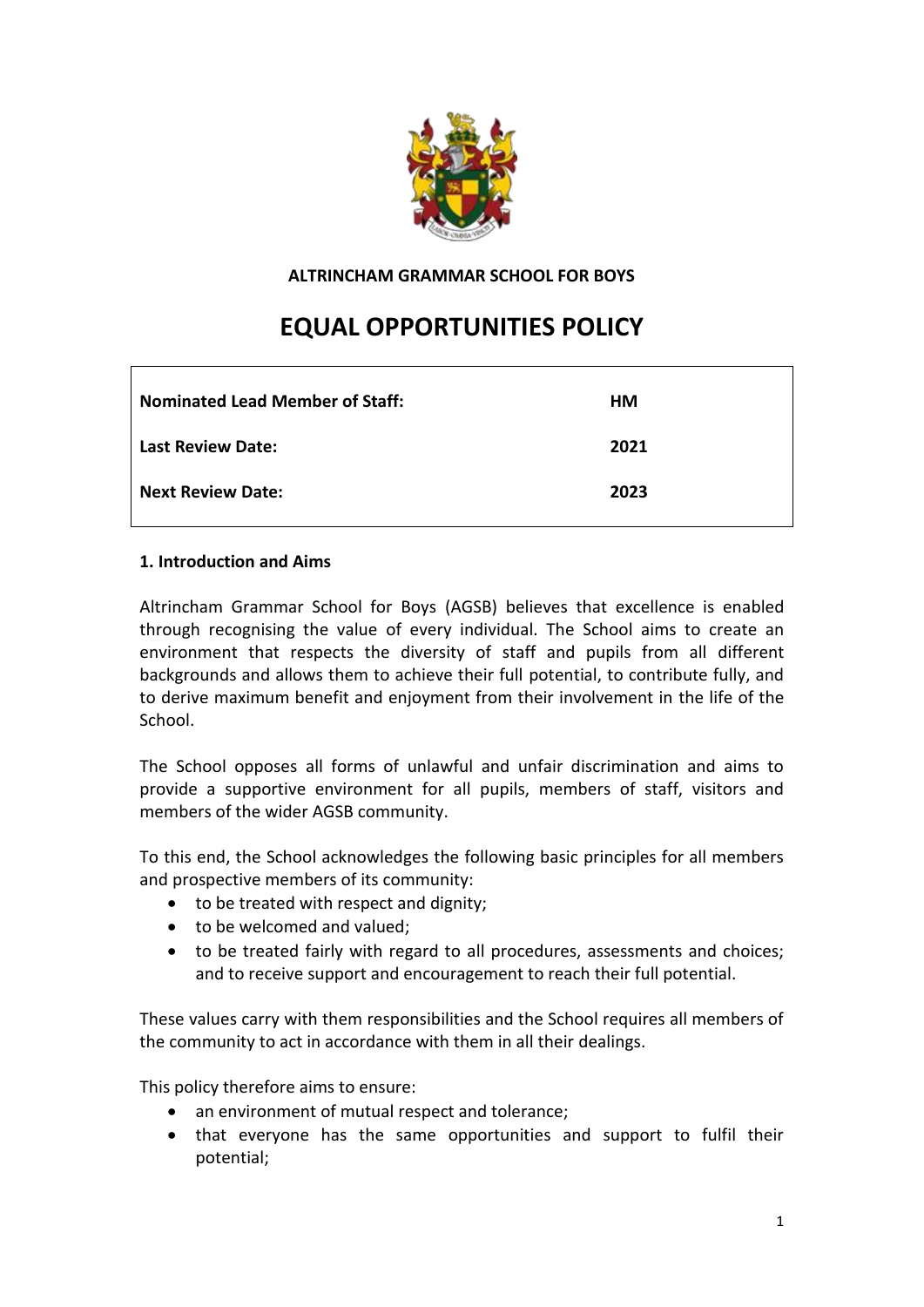

**ALTRINCHAM GRAMMAR SCHOOL FOR BOYS**

# **EQUAL OPPORTUNITIES POLICY**

| <b>Nominated Lead Member of Staff:</b> | HМ   |
|----------------------------------------|------|
| <b>Last Review Date:</b>               | 2021 |
| <b>Next Review Date:</b>               | 2023 |

# **1. Introduction and Aims**

Altrincham Grammar School for Boys (AGSB) believes that excellence is enabled through recognising the value of every individual. The School aims to create an environment that respects the diversity of staff and pupils from all different backgrounds and allows them to achieve their full potential, to contribute fully, and to derive maximum benefit and enjoyment from their involvement in the life of the School.

The School opposes all forms of unlawful and unfair discrimination and aims to provide a supportive environment for all pupils, members of staff, visitors and members of the wider AGSB community.

To this end, the School acknowledges the following basic principles for all members and prospective members of its community:

- to be treated with respect and dignity;
- to be welcomed and valued;
- to be treated fairly with regard to all procedures, assessments and choices; and to receive support and encouragement to reach their full potential.

These values carry with them responsibilities and the School requires all members of the community to act in accordance with them in all their dealings.

This policy therefore aims to ensure:

- an environment of mutual respect and tolerance;
- that everyone has the same opportunities and support to fulfil their potential;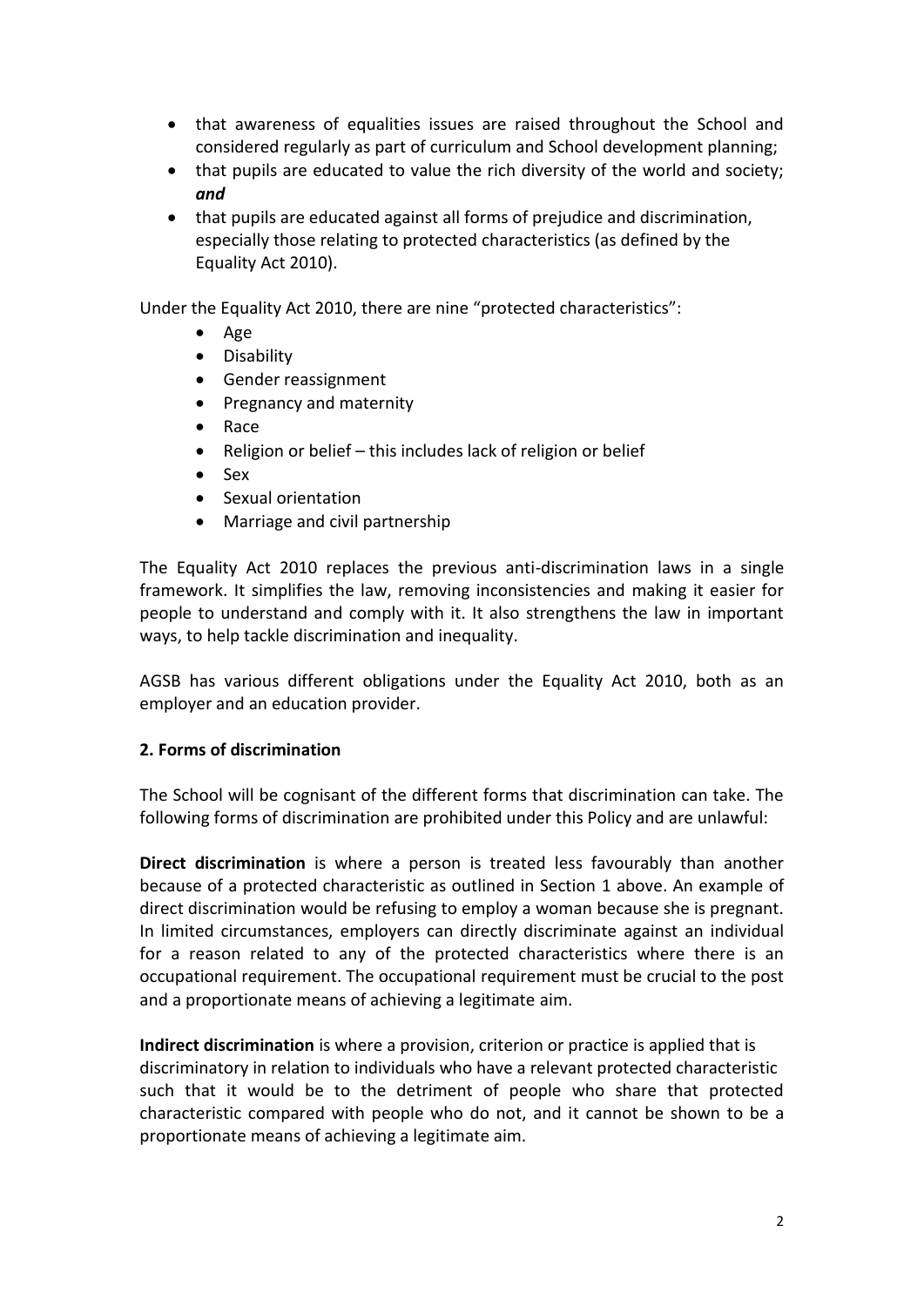- that awareness of equalities issues are raised throughout the School and considered regularly as part of curriculum and School development planning;
- that pupils are educated to value the rich diversity of the world and society; *and*
- that pupils are educated against all forms of prejudice and discrimination, especially those relating to protected characteristics (as defined by the Equality Act 2010).

Under the Equality Act 2010, there are nine "protected characteristics":

- Age
- Disability
- Gender reassignment
- Pregnancy and maternity
- Race
- Religion or belief this includes lack of religion or belief
- Sex
- Sexual orientation
- Marriage and civil partnership

The Equality Act 2010 replaces the previous anti-discrimination laws in a single framework. It simplifies the law, removing inconsistencies and making it easier for people to understand and comply with it. It also strengthens the law in important ways, to help tackle discrimination and inequality.

AGSB has various different obligations under the Equality Act 2010, both as an employer and an education provider.

# **2. Forms of discrimination**

The School will be cognisant of the different forms that discrimination can take. The following forms of discrimination are prohibited under this Policy and are unlawful:

**Direct discrimination** is where a person is treated less favourably than another because of a protected characteristic as outlined in Section 1 above. An example of direct discrimination would be refusing to employ a woman because she is pregnant. In limited circumstances, employers can directly discriminate against an individual for a reason related to any of the protected characteristics where there is an occupational requirement. The occupational requirement must be crucial to the post and a proportionate means of achieving a legitimate aim.

**Indirect discrimination** is where a provision, criterion or practice is applied that is discriminatory in relation to individuals who have a relevant protected characteristic such that it would be to the detriment of people who share that protected characteristic compared with people who do not, and it cannot be shown to be a proportionate means of achieving a legitimate aim.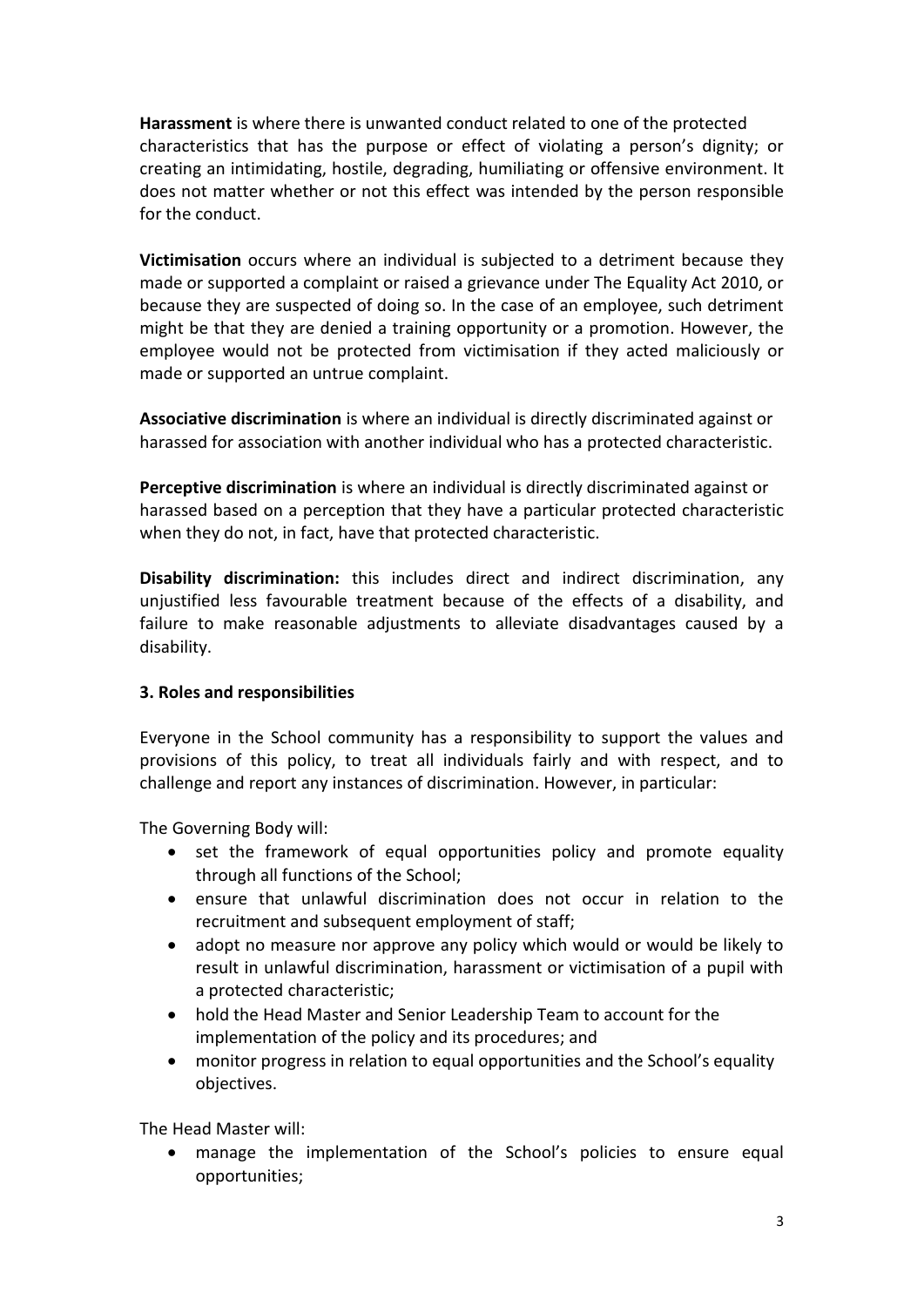**Harassment** is where there is unwanted conduct related to one of the protected characteristics that has the purpose or effect of violating a person's dignity; or creating an intimidating, hostile, degrading, humiliating or offensive environment. It does not matter whether or not this effect was intended by the person responsible for the conduct.

**Victimisation** occurs where an individual is subjected to a detriment because they made or supported a complaint or raised a grievance under The Equality Act 2010, or because they are suspected of doing so. In the case of an employee, such detriment might be that they are denied a training opportunity or a promotion. However, the employee would not be protected from victimisation if they acted maliciously or made or supported an untrue complaint.

**Associative discrimination** is where an individual is directly discriminated against or harassed for association with another individual who has a protected characteristic.

**Perceptive discrimination** is where an individual is directly discriminated against or harassed based on a perception that they have a particular protected characteristic when they do not, in fact, have that protected characteristic.

**Disability discrimination:** this includes direct and indirect discrimination, any unjustified less favourable treatment because of the effects of a disability, and failure to make reasonable adjustments to alleviate disadvantages caused by a disability.

# **3. Roles and responsibilities**

Everyone in the School community has a responsibility to support the values and provisions of this policy, to treat all individuals fairly and with respect, and to challenge and report any instances of discrimination. However, in particular:

The Governing Body will:

- set the framework of equal opportunities policy and promote equality through all functions of the School;
- ensure that unlawful discrimination does not occur in relation to the recruitment and subsequent employment of staff;
- adopt no measure nor approve any policy which would or would be likely to result in unlawful discrimination, harassment or victimisation of a pupil with a protected characteristic;
- hold the Head Master and Senior Leadership Team to account for the implementation of the policy and its procedures; and
- monitor progress in relation to equal opportunities and the School's equality objectives.

The Head Master will:

• manage the implementation of the School's policies to ensure equal opportunities;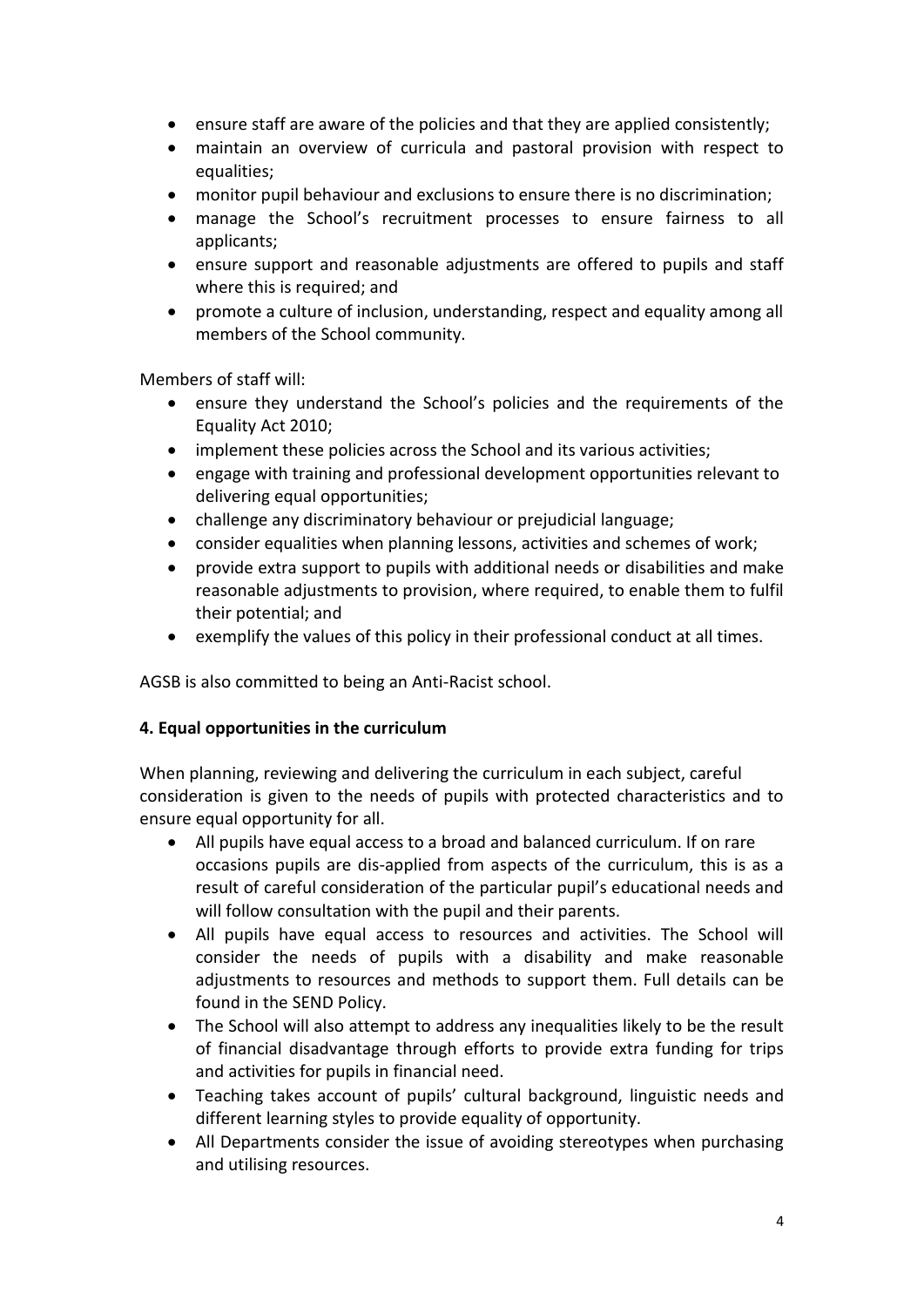- ensure staff are aware of the policies and that they are applied consistently;
- maintain an overview of curricula and pastoral provision with respect to equalities;
- monitor pupil behaviour and exclusions to ensure there is no discrimination;
- manage the School's recruitment processes to ensure fairness to all applicants;
- ensure support and reasonable adjustments are offered to pupils and staff where this is required; and
- promote a culture of inclusion, understanding, respect and equality among all members of the School community.

Members of staff will:

- ensure they understand the School's policies and the requirements of the Equality Act 2010;
- implement these policies across the School and its various activities;
- engage with training and professional development opportunities relevant to delivering equal opportunities;
- challenge any discriminatory behaviour or prejudicial language;
- consider equalities when planning lessons, activities and schemes of work;
- provide extra support to pupils with additional needs or disabilities and make reasonable adjustments to provision, where required, to enable them to fulfil their potential; and
- exemplify the values of this policy in their professional conduct at all times.

AGSB is also committed to being an Anti-Racist school.

#### **4. Equal opportunities in the curriculum**

When planning, reviewing and delivering the curriculum in each subject, careful consideration is given to the needs of pupils with protected characteristics and to ensure equal opportunity for all.

- All pupils have equal access to a broad and balanced curriculum. If on rare occasions pupils are dis-applied from aspects of the curriculum, this is as a result of careful consideration of the particular pupil's educational needs and will follow consultation with the pupil and their parents.
- All pupils have equal access to resources and activities. The School will consider the needs of pupils with a disability and make reasonable adjustments to resources and methods to support them. Full details can be found in the SEND Policy.
- The School will also attempt to address any inequalities likely to be the result of financial disadvantage through efforts to provide extra funding for trips and activities for pupils in financial need.
- Teaching takes account of pupils' cultural background, linguistic needs and different learning styles to provide equality of opportunity.
- All Departments consider the issue of avoiding stereotypes when purchasing and utilising resources.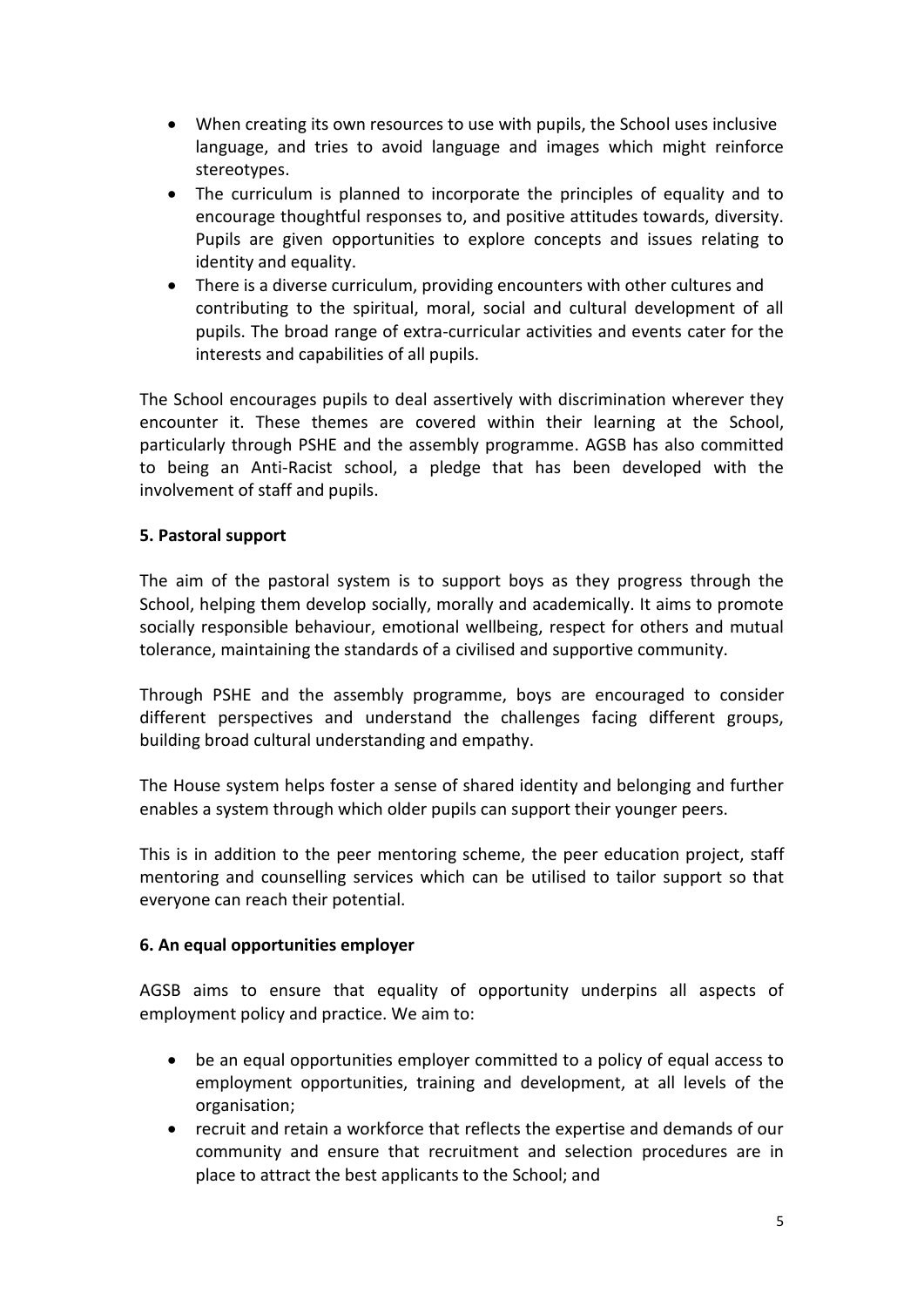- When creating its own resources to use with pupils, the School uses inclusive language, and tries to avoid language and images which might reinforce stereotypes.
- The curriculum is planned to incorporate the principles of equality and to encourage thoughtful responses to, and positive attitudes towards, diversity. Pupils are given opportunities to explore concepts and issues relating to identity and equality.
- There is a diverse curriculum, providing encounters with other cultures and contributing to the spiritual, moral, social and cultural development of all pupils. The broad range of extra-curricular activities and events cater for the interests and capabilities of all pupils.

The School encourages pupils to deal assertively with discrimination wherever they encounter it. These themes are covered within their learning at the School, particularly through PSHE and the assembly programme. AGSB has also committed to being an Anti-Racist school, a pledge that has been developed with the involvement of staff and pupils.

# **5. Pastoral support**

The aim of the pastoral system is to support boys as they progress through the School, helping them develop socially, morally and academically. It aims to promote socially responsible behaviour, emotional wellbeing, respect for others and mutual tolerance, maintaining the standards of a civilised and supportive community.

Through PSHE and the assembly programme, boys are encouraged to consider different perspectives and understand the challenges facing different groups, building broad cultural understanding and empathy.

The House system helps foster a sense of shared identity and belonging and further enables a system through which older pupils can support their younger peers.

This is in addition to the peer mentoring scheme, the peer education project, staff mentoring and counselling services which can be utilised to tailor support so that everyone can reach their potential.

#### **6. An equal opportunities employer**

AGSB aims to ensure that equality of opportunity underpins all aspects of employment policy and practice. We aim to:

- be an equal opportunities employer committed to a policy of equal access to employment opportunities, training and development, at all levels of the organisation;
- recruit and retain a workforce that reflects the expertise and demands of our community and ensure that recruitment and selection procedures are in place to attract the best applicants to the School; and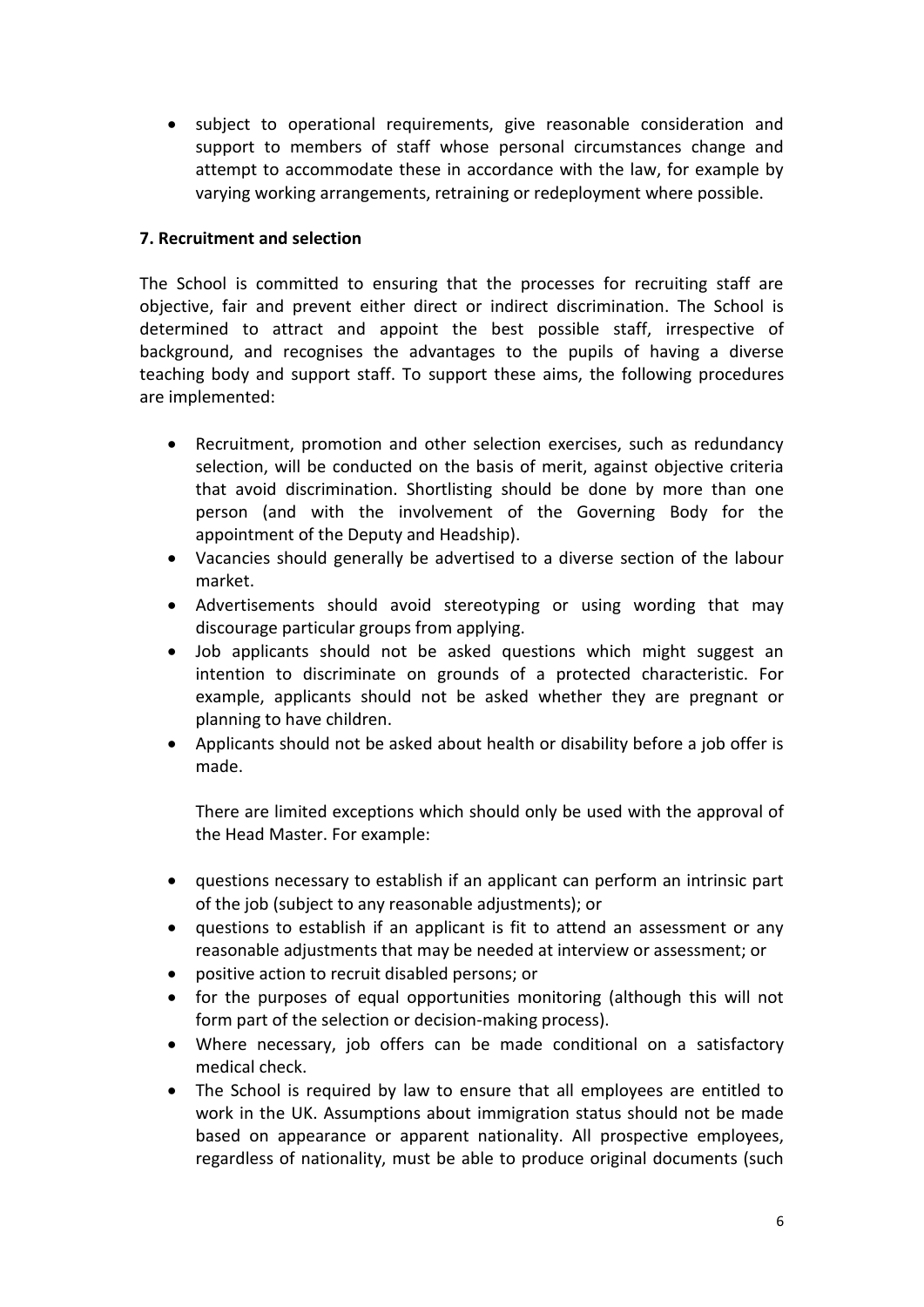• subject to operational requirements, give reasonable consideration and support to members of staff whose personal circumstances change and attempt to accommodate these in accordance with the law, for example by varying working arrangements, retraining or redeployment where possible.

# **7. Recruitment and selection**

The School is committed to ensuring that the processes for recruiting staff are objective, fair and prevent either direct or indirect discrimination. The School is determined to attract and appoint the best possible staff, irrespective of background, and recognises the advantages to the pupils of having a diverse teaching body and support staff. To support these aims, the following procedures are implemented:

- Recruitment, promotion and other selection exercises, such as redundancy selection, will be conducted on the basis of merit, against objective criteria that avoid discrimination. Shortlisting should be done by more than one person (and with the involvement of the Governing Body for the appointment of the Deputy and Headship).
- Vacancies should generally be advertised to a diverse section of the labour market.
- Advertisements should avoid stereotyping or using wording that may discourage particular groups from applying.
- Job applicants should not be asked questions which might suggest an intention to discriminate on grounds of a protected characteristic. For example, applicants should not be asked whether they are pregnant or planning to have children.
- Applicants should not be asked about health or disability before a job offer is made.

There are limited exceptions which should only be used with the approval of the Head Master. For example:

- questions necessary to establish if an applicant can perform an intrinsic part of the job (subject to any reasonable adjustments); or
- questions to establish if an applicant is fit to attend an assessment or any reasonable adjustments that may be needed at interview or assessment; or
- positive action to recruit disabled persons; or
- for the purposes of equal opportunities monitoring (although this will not form part of the selection or decision-making process).
- Where necessary, job offers can be made conditional on a satisfactory medical check.
- The School is required by law to ensure that all employees are entitled to work in the UK. Assumptions about immigration status should not be made based on appearance or apparent nationality. All prospective employees, regardless of nationality, must be able to produce original documents (such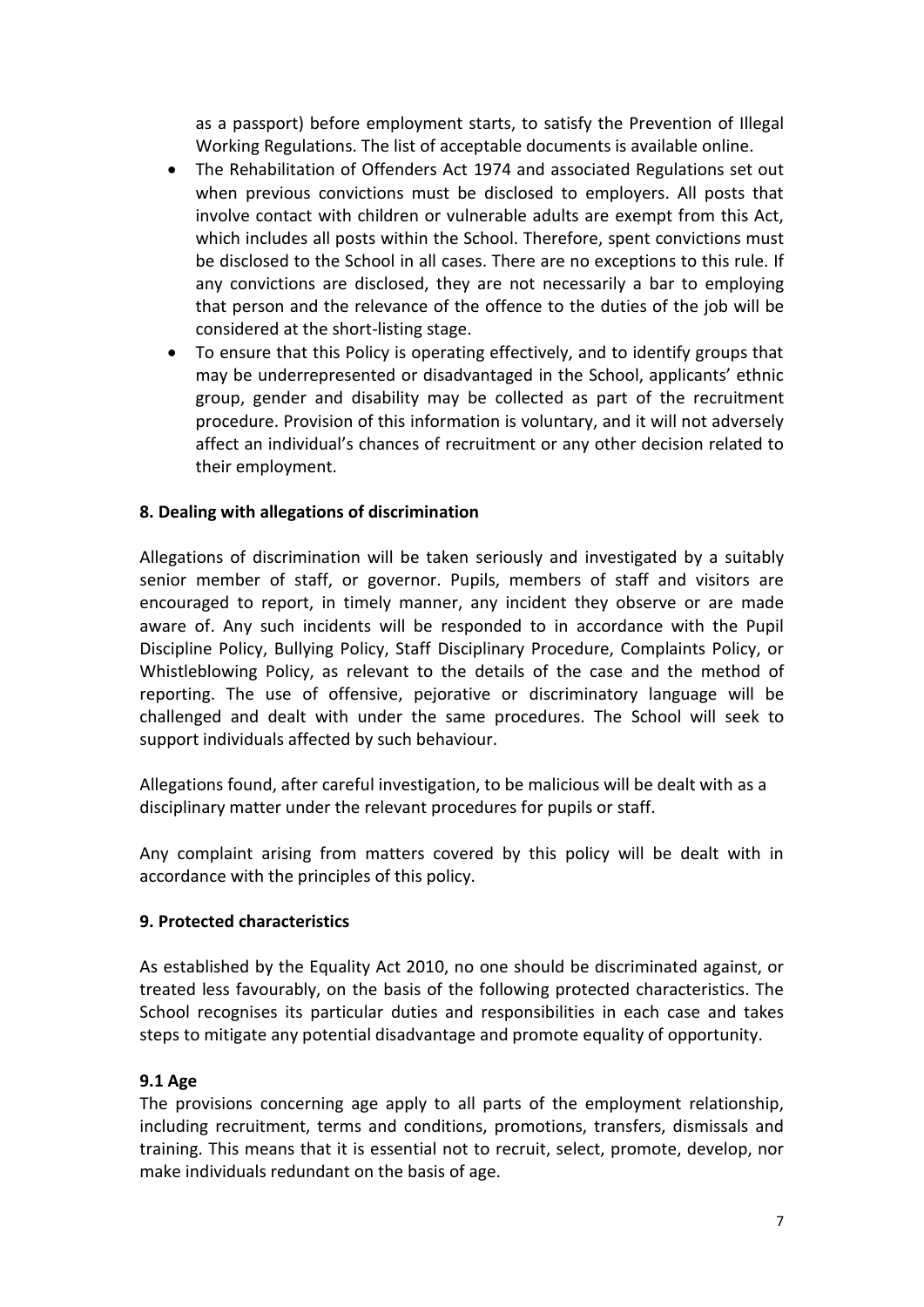as a passport) before employment starts, to satisfy the Prevention of Illegal Working Regulations. The list of acceptable documents is available online.

- The Rehabilitation of Offenders Act 1974 and associated Regulations set out when previous convictions must be disclosed to employers. All posts that involve contact with children or vulnerable adults are exempt from this Act, which includes all posts within the School. Therefore, spent convictions must be disclosed to the School in all cases. There are no exceptions to this rule. If any convictions are disclosed, they are not necessarily a bar to employing that person and the relevance of the offence to the duties of the job will be considered at the short-listing stage.
- To ensure that this Policy is operating effectively, and to identify groups that may be underrepresented or disadvantaged in the School, applicants' ethnic group, gender and disability may be collected as part of the recruitment procedure. Provision of this information is voluntary, and it will not adversely affect an individual's chances of recruitment or any other decision related to their employment.

## **8. Dealing with allegations of discrimination**

Allegations of discrimination will be taken seriously and investigated by a suitably senior member of staff, or governor. Pupils, members of staff and visitors are encouraged to report, in timely manner, any incident they observe or are made aware of. Any such incidents will be responded to in accordance with the Pupil Discipline Policy, Bullying Policy, Staff Disciplinary Procedure, Complaints Policy, or Whistleblowing Policy, as relevant to the details of the case and the method of reporting. The use of offensive, pejorative or discriminatory language will be challenged and dealt with under the same procedures. The School will seek to support individuals affected by such behaviour.

Allegations found, after careful investigation, to be malicious will be dealt with as a disciplinary matter under the relevant procedures for pupils or staff.

Any complaint arising from matters covered by this policy will be dealt with in accordance with the principles of this policy.

#### **9. Protected characteristics**

As established by the Equality Act 2010, no one should be discriminated against, or treated less favourably, on the basis of the following protected characteristics. The School recognises its particular duties and responsibilities in each case and takes steps to mitigate any potential disadvantage and promote equality of opportunity.

#### **9.1 Age**

The provisions concerning age apply to all parts of the employment relationship, including recruitment, terms and conditions, promotions, transfers, dismissals and training. This means that it is essential not to recruit, select, promote, develop, nor make individuals redundant on the basis of age.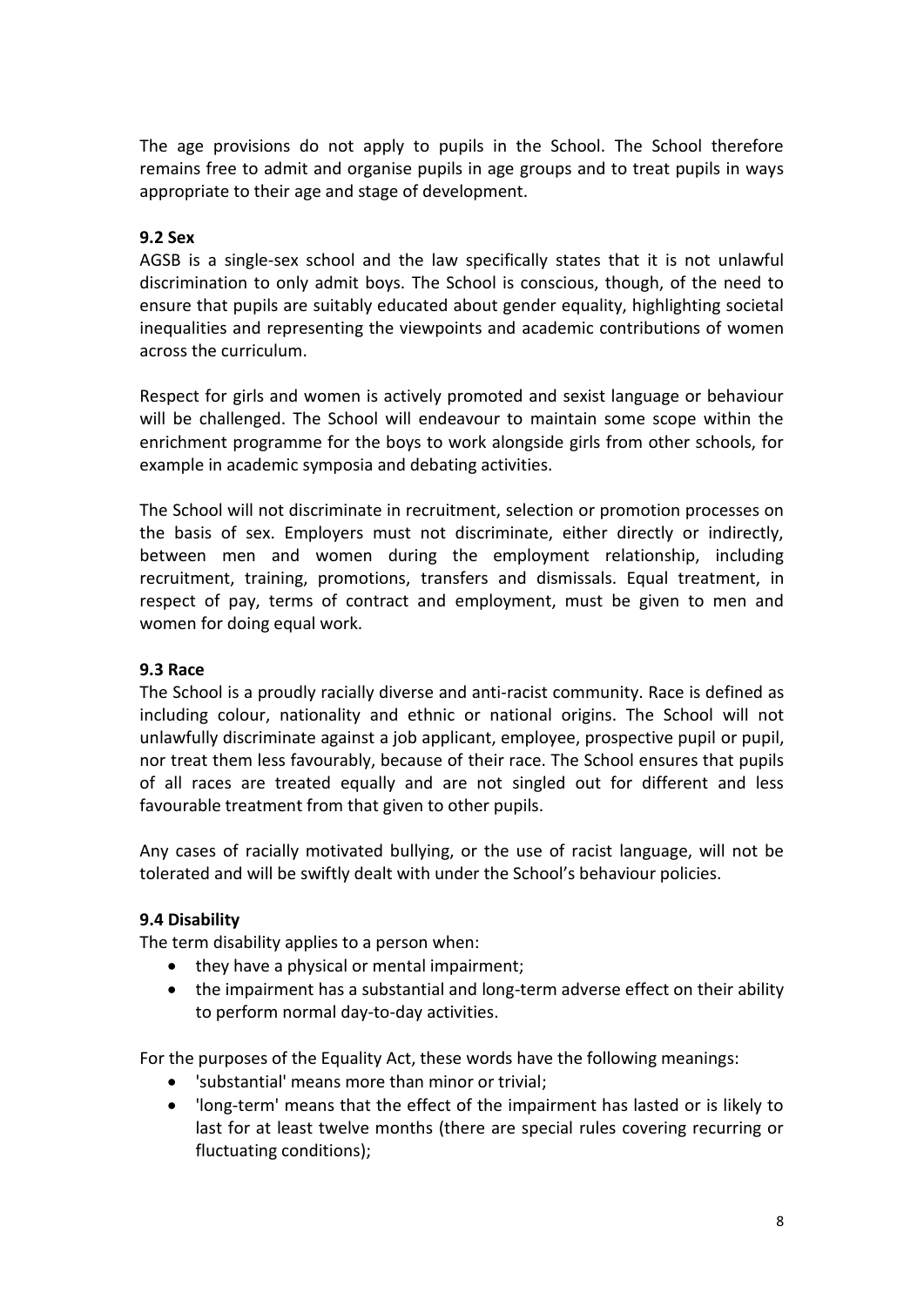The age provisions do not apply to pupils in the School. The School therefore remains free to admit and organise pupils in age groups and to treat pupils in ways appropriate to their age and stage of development.

#### **9.2 Sex**

AGSB is a single-sex school and the law specifically states that it is not unlawful discrimination to only admit boys. The School is conscious, though, of the need to ensure that pupils are suitably educated about gender equality, highlighting societal inequalities and representing the viewpoints and academic contributions of women across the curriculum.

Respect for girls and women is actively promoted and sexist language or behaviour will be challenged. The School will endeavour to maintain some scope within the enrichment programme for the boys to work alongside girls from other schools, for example in academic symposia and debating activities.

The School will not discriminate in recruitment, selection or promotion processes on the basis of sex. Employers must not discriminate, either directly or indirectly, between men and women during the employment relationship, including recruitment, training, promotions, transfers and dismissals. Equal treatment, in respect of pay, terms of contract and employment, must be given to men and women for doing equal work.

#### **9.3 Race**

The School is a proudly racially diverse and anti-racist community. Race is defined as including colour, nationality and ethnic or national origins. The School will not unlawfully discriminate against a job applicant, employee, prospective pupil or pupil, nor treat them less favourably, because of their race. The School ensures that pupils of all races are treated equally and are not singled out for different and less favourable treatment from that given to other pupils.

Any cases of racially motivated bullying, or the use of racist language, will not be tolerated and will be swiftly dealt with under the School's behaviour policies.

# **9.4 Disability**

The term disability applies to a person when:

- they have a physical or mental impairment;
- the impairment has a substantial and long-term adverse effect on their ability to perform normal day-to-day activities.

For the purposes of the Equality Act, these words have the following meanings:

- 'substantial' means more than minor or trivial;
- 'long-term' means that the effect of the impairment has lasted or is likely to last for at least twelve months (there are special rules covering recurring or fluctuating conditions);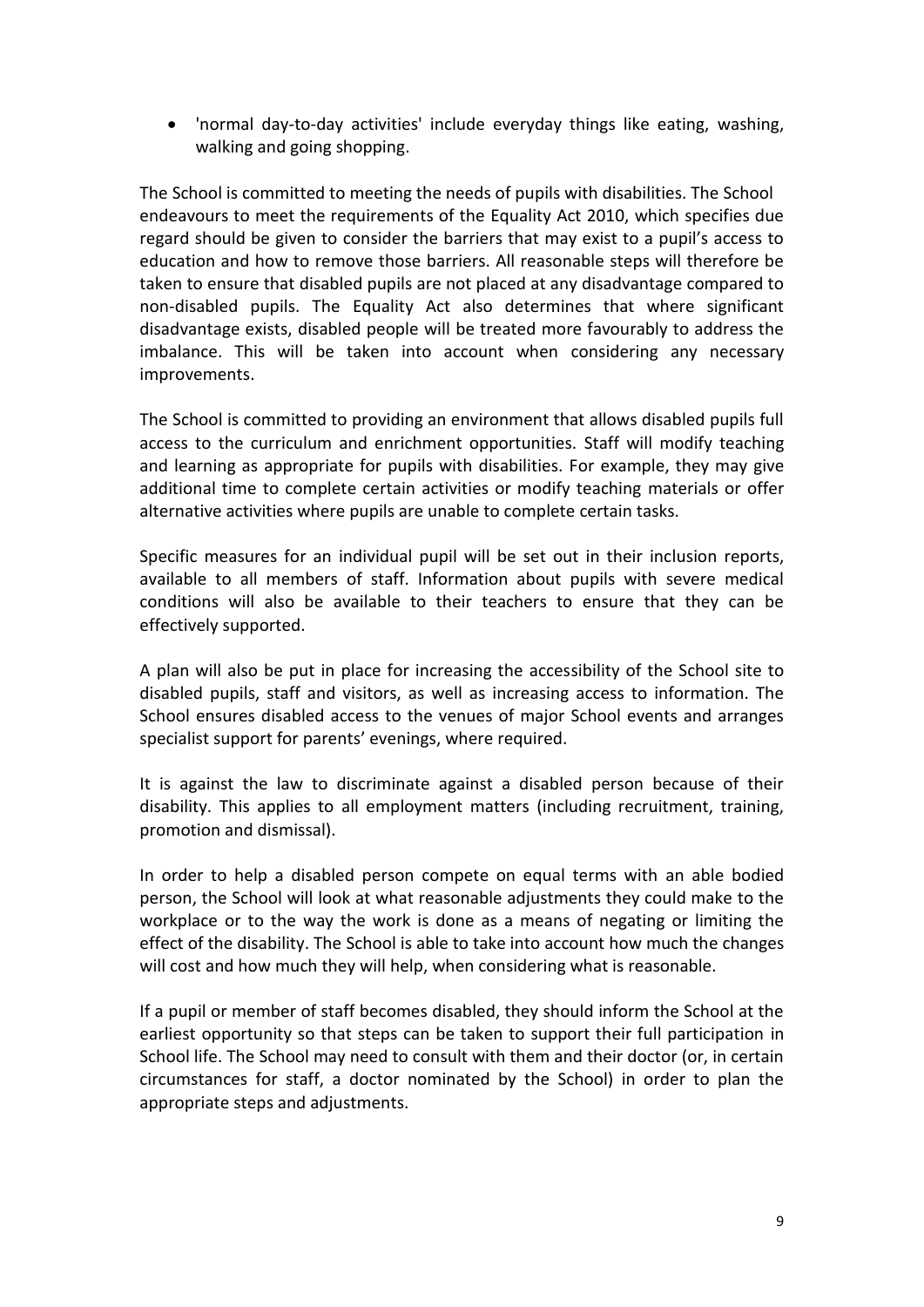• 'normal day-to-day activities' include everyday things like eating, washing, walking and going shopping.

The School is committed to meeting the needs of pupils with disabilities. The School endeavours to meet the requirements of the Equality Act 2010, which specifies due regard should be given to consider the barriers that may exist to a pupil's access to education and how to remove those barriers. All reasonable steps will therefore be taken to ensure that disabled pupils are not placed at any disadvantage compared to non-disabled pupils. The Equality Act also determines that where significant disadvantage exists, disabled people will be treated more favourably to address the imbalance. This will be taken into account when considering any necessary improvements.

The School is committed to providing an environment that allows disabled pupils full access to the curriculum and enrichment opportunities. Staff will modify teaching and learning as appropriate for pupils with disabilities. For example, they may give additional time to complete certain activities or modify teaching materials or offer alternative activities where pupils are unable to complete certain tasks.

Specific measures for an individual pupil will be set out in their inclusion reports, available to all members of staff. Information about pupils with severe medical conditions will also be available to their teachers to ensure that they can be effectively supported.

A plan will also be put in place for increasing the accessibility of the School site to disabled pupils, staff and visitors, as well as increasing access to information. The School ensures disabled access to the venues of major School events and arranges specialist support for parents' evenings, where required.

It is against the law to discriminate against a disabled person because of their disability. This applies to all employment matters (including recruitment, training, promotion and dismissal).

In order to help a disabled person compete on equal terms with an able bodied person, the School will look at what reasonable adjustments they could make to the workplace or to the way the work is done as a means of negating or limiting the effect of the disability. The School is able to take into account how much the changes will cost and how much they will help, when considering what is reasonable.

If a pupil or member of staff becomes disabled, they should inform the School at the earliest opportunity so that steps can be taken to support their full participation in School life. The School may need to consult with them and their doctor (or, in certain circumstances for staff, a doctor nominated by the School) in order to plan the appropriate steps and adjustments.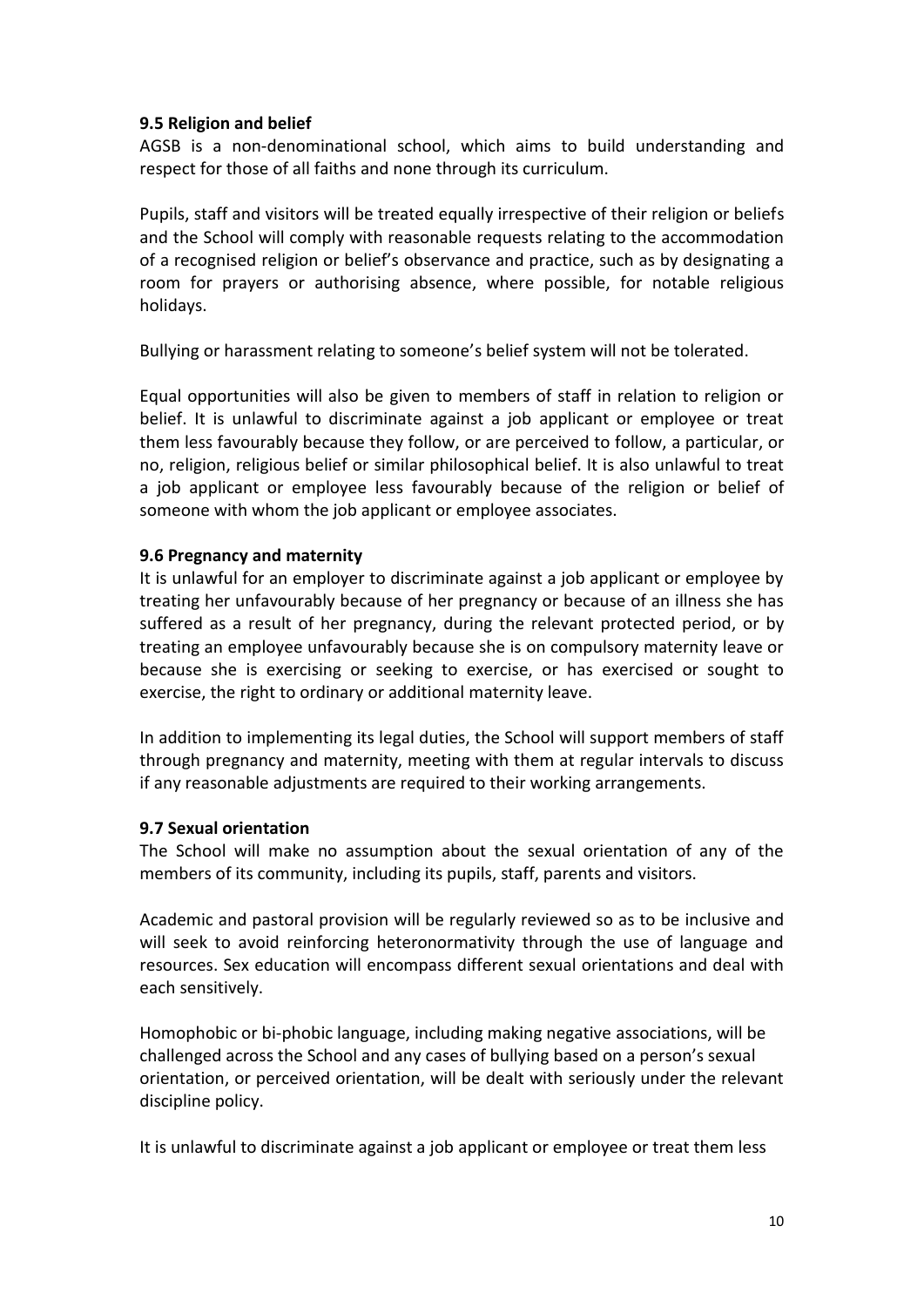## **9.5 Religion and belief**

AGSB is a non-denominational school, which aims to build understanding and respect for those of all faiths and none through its curriculum.

Pupils, staff and visitors will be treated equally irrespective of their religion or beliefs and the School will comply with reasonable requests relating to the accommodation of a recognised religion or belief's observance and practice, such as by designating a room for prayers or authorising absence, where possible, for notable religious holidays.

Bullying or harassment relating to someone's belief system will not be tolerated.

Equal opportunities will also be given to members of staff in relation to religion or belief. It is unlawful to discriminate against a job applicant or employee or treat them less favourably because they follow, or are perceived to follow, a particular, or no, religion, religious belief or similar philosophical belief. It is also unlawful to treat a job applicant or employee less favourably because of the religion or belief of someone with whom the job applicant or employee associates.

## **9.6 Pregnancy and maternity**

It is unlawful for an employer to discriminate against a job applicant or employee by treating her unfavourably because of her pregnancy or because of an illness she has suffered as a result of her pregnancy, during the relevant protected period, or by treating an employee unfavourably because she is on compulsory maternity leave or because she is exercising or seeking to exercise, or has exercised or sought to exercise, the right to ordinary or additional maternity leave.

In addition to implementing its legal duties, the School will support members of staff through pregnancy and maternity, meeting with them at regular intervals to discuss if any reasonable adjustments are required to their working arrangements.

# **9.7 Sexual orientation**

The School will make no assumption about the sexual orientation of any of the members of its community, including its pupils, staff, parents and visitors.

Academic and pastoral provision will be regularly reviewed so as to be inclusive and will seek to avoid reinforcing heteronormativity through the use of language and resources. Sex education will encompass different sexual orientations and deal with each sensitively.

Homophobic or bi-phobic language, including making negative associations, will be challenged across the School and any cases of bullying based on a person's sexual orientation, or perceived orientation, will be dealt with seriously under the relevant discipline policy.

It is unlawful to discriminate against a job applicant or employee or treat them less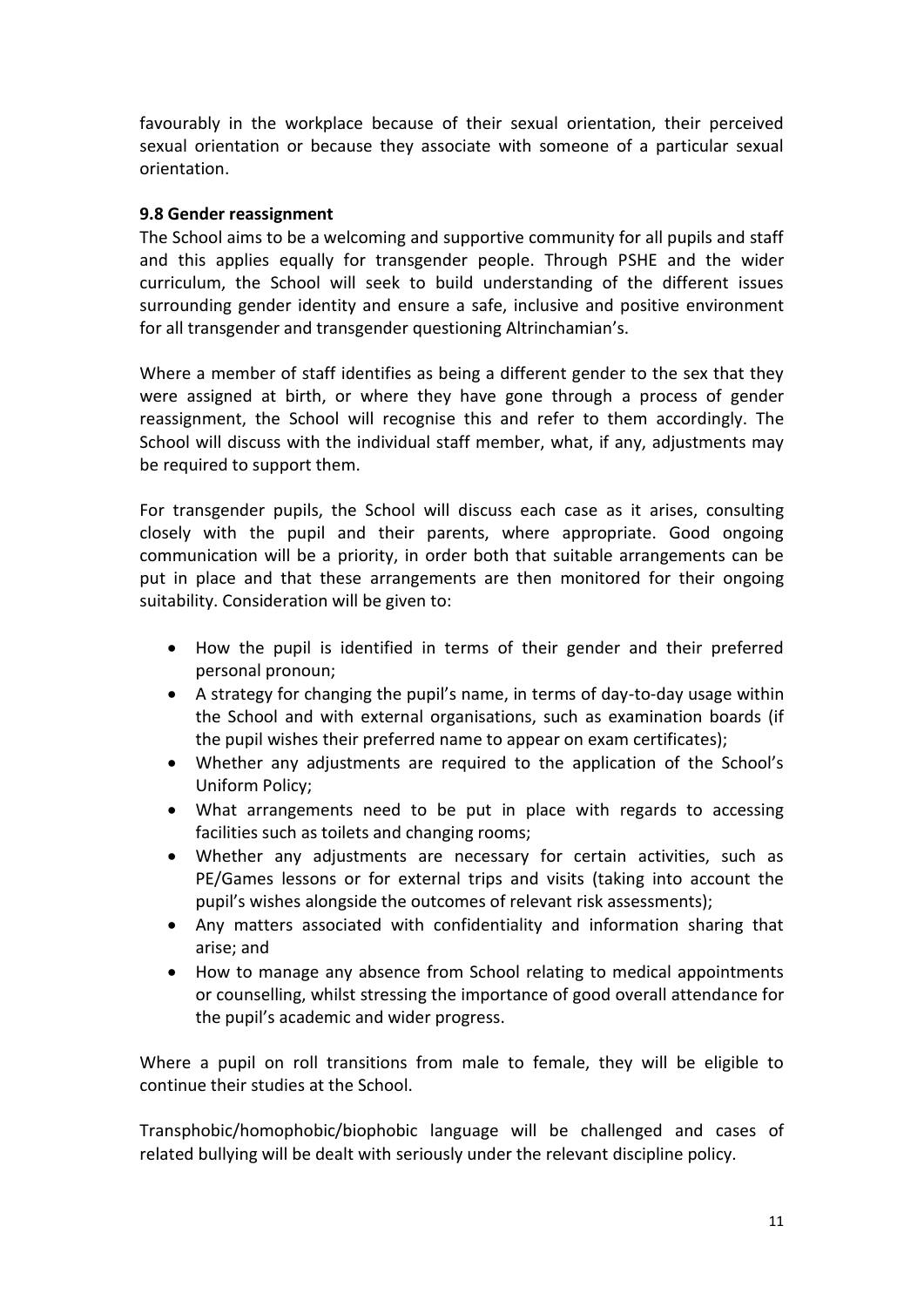favourably in the workplace because of their sexual orientation, their perceived sexual orientation or because they associate with someone of a particular sexual orientation.

## **9.8 Gender reassignment**

The School aims to be a welcoming and supportive community for all pupils and staff and this applies equally for transgender people. Through PSHE and the wider curriculum, the School will seek to build understanding of the different issues surrounding gender identity and ensure a safe, inclusive and positive environment for all transgender and transgender questioning Altrinchamian's.

Where a member of staff identifies as being a different gender to the sex that they were assigned at birth, or where they have gone through a process of gender reassignment, the School will recognise this and refer to them accordingly. The School will discuss with the individual staff member, what, if any, adjustments may be required to support them.

For transgender pupils, the School will discuss each case as it arises, consulting closely with the pupil and their parents, where appropriate. Good ongoing communication will be a priority, in order both that suitable arrangements can be put in place and that these arrangements are then monitored for their ongoing suitability. Consideration will be given to:

- How the pupil is identified in terms of their gender and their preferred personal pronoun;
- A strategy for changing the pupil's name, in terms of day-to-day usage within the School and with external organisations, such as examination boards (if the pupil wishes their preferred name to appear on exam certificates);
- Whether any adjustments are required to the application of the School's Uniform Policy;
- What arrangements need to be put in place with regards to accessing facilities such as toilets and changing rooms;
- Whether any adjustments are necessary for certain activities, such as PE/Games lessons or for external trips and visits (taking into account the pupil's wishes alongside the outcomes of relevant risk assessments);
- Any matters associated with confidentiality and information sharing that arise; and
- How to manage any absence from School relating to medical appointments or counselling, whilst stressing the importance of good overall attendance for the pupil's academic and wider progress.

Where a pupil on roll transitions from male to female, they will be eligible to continue their studies at the School.

Transphobic/homophobic/biophobic language will be challenged and cases of related bullying will be dealt with seriously under the relevant discipline policy.